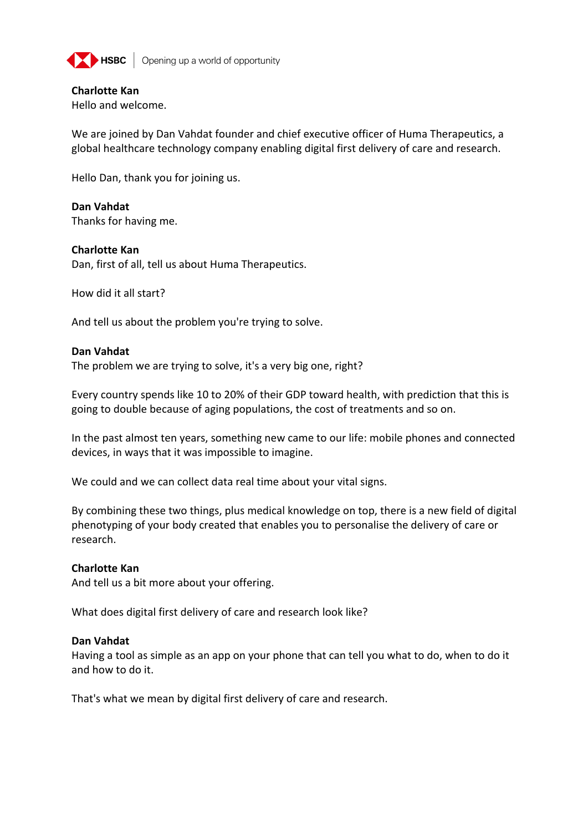

**EXEC** Opening up a world of opportunity

# **Charlotte Kan**

Hello and welcome.

We are joined by Dan Vahdat founder and chief executive officer of Huma Therapeutics, a global healthcare technology company enabling digital first delivery of care and research.

Hello Dan, thank you for joining us.

**Dan Vahdat** Thanks for having me.

## **Charlotte Kan**

Dan, first of all, tell us about Huma Therapeutics.

How did it all start?

And tell us about the problem you're trying to solve.

## **Dan Vahdat**

The problem we are trying to solve, it's a very big one, right?

Every country spends like 10 to 20% of their GDP toward health, with prediction that this is going to double because of aging populations, the cost of treatments and so on.

In the past almost ten years, something new came to our life: mobile phones and connected devices, in ways that it was impossible to imagine.

We could and we can collect data real time about your vital signs.

By combining these two things, plus medical knowledge on top, there is a new field of digital phenotyping of your body created that enables you to personalise the delivery of care or research.

## **Charlotte Kan**

And tell us a bit more about your offering.

What does digital first delivery of care and research look like?

## **Dan Vahdat**

Having a tool as simple as an app on your phone that can tell you what to do, when to do it and how to do it.

That's what we mean by digital first delivery of care and research.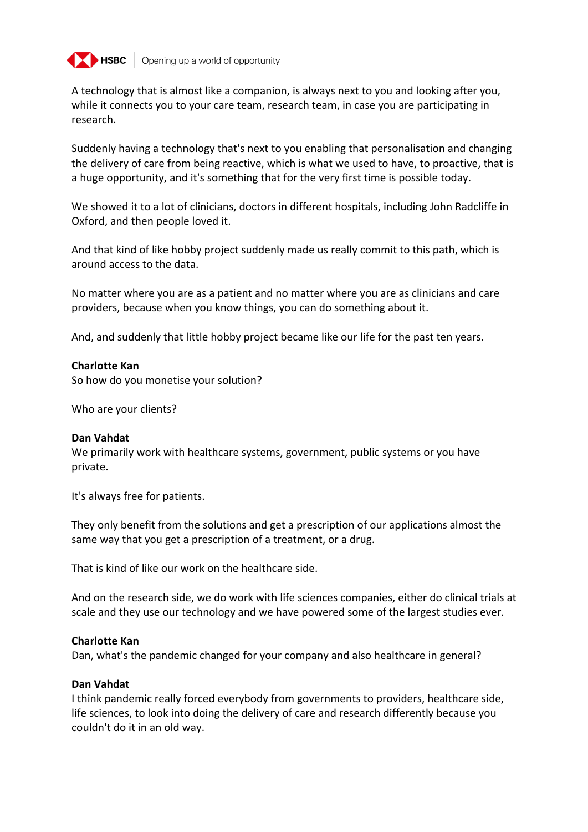

A technology that is almost like a companion, is always next to you and looking after you, while it connects you to your care team, research team, in case you are participating in research.

Suddenly having a technology that's next to you enabling that personalisation and changing the delivery of care from being reactive, which is what we used to have, to proactive, that is a huge opportunity, and it's something that for the very first time is possible today.

We showed it to a lot of clinicians, doctors in different hospitals, including John Radcliffe in Oxford, and then people loved it.

And that kind of like hobby project suddenly made us really commit to this path, which is around access to the data.

No matter where you are as a patient and no matter where you are as clinicians and care providers, because when you know things, you can do something about it.

And, and suddenly that little hobby project became like our life for the past ten years.

### **Charlotte Kan**

So how do you monetise your solution?

Who are your clients?

#### **Dan Vahdat**

We primarily work with healthcare systems, government, public systems or you have private.

It's always free for patients.

They only benefit from the solutions and get a prescription of our applications almost the same way that you get a prescription of a treatment, or a drug.

That is kind of like our work on the healthcare side.

And on the research side, we do work with life sciences companies, either do clinical trials at scale and they use our technology and we have powered some of the largest studies ever.

## **Charlotte Kan**

Dan, what's the pandemic changed for your company and also healthcare in general?

#### **Dan Vahdat**

I think pandemic really forced everybody from governments to providers, healthcare side, life sciences, to look into doing the delivery of care and research differently because you couldn't do it in an old way.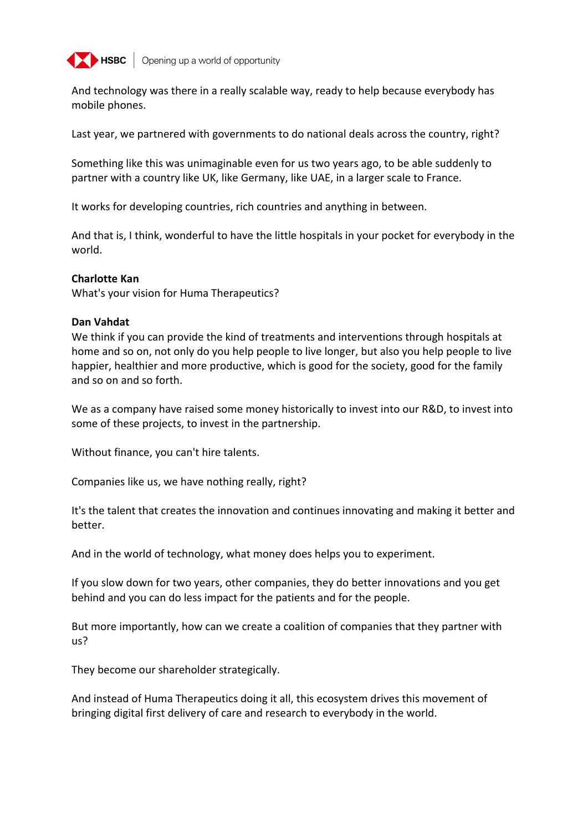

**EXPIRED** Opening up a world of opportunity

And technology was there in a really scalable way, ready to help because everybody has mobile phones.

Last year, we partnered with governments to do national deals across the country, right?

Something like this was unimaginable even for us two years ago, to be able suddenly to partner with a country like UK, like Germany, like UAE, in a larger scale to France.

It works for developing countries, rich countries and anything in between.

And that is, I think, wonderful to have the little hospitals in your pocket for everybody in the world.

### **Charlotte Kan**

What's your vision for Huma Therapeutics?

### **Dan Vahdat**

We think if you can provide the kind of treatments and interventions through hospitals at home and so on, not only do you help people to live longer, but also you help people to live happier, healthier and more productive, which is good for the society, good for the family and so on and so forth.

We as a company have raised some money historically to invest into our R&D, to invest into some of these projects, to invest in the partnership.

Without finance, you can't hire talents.

Companies like us, we have nothing really, right?

It's the talent that creates the innovation and continues innovating and making it better and better.

And in the world of technology, what money does helps you to experiment.

If you slow down for two years, other companies, they do better innovations and you get behind and you can do less impact for the patients and for the people.

But more importantly, how can we create a coalition of companies that they partner with us?

They become our shareholder strategically.

And instead of Huma Therapeutics doing it all, this ecosystem drives this movement of bringing digital first delivery of care and research to everybody in the world.